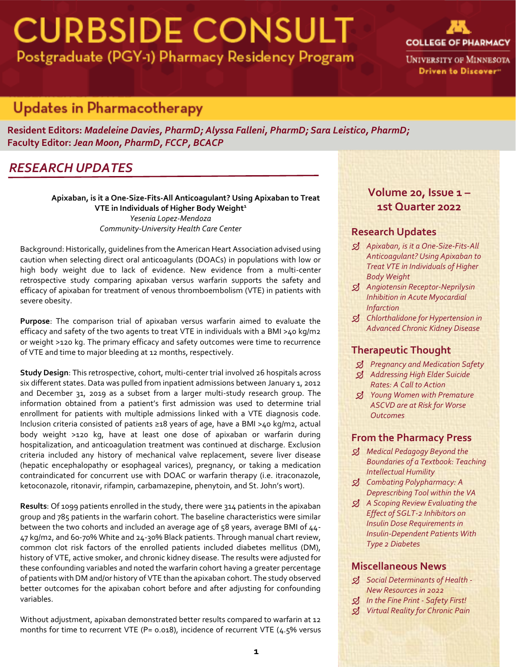# **CURBSIDE CONSULT** Postgraduate (PGY-1) Pharmacy Residency Program



# *RESEARCH UPDATES*

**Resident Editors:** *Madeleine Davies, PharmD; Alyssa Falleni, PharmD; Sara Leistico, PharmD;* **Faculty Editor:** *Jean Moon, PharmD, FCCP, BCACP*

## *RESEARCH UPDATES*

**Apixaban, is it a One-Size-Fits-All Anticoagulant? Using Apixaban to Treat VTE in Individuals of Higher Body Weight 1** *Yesenia Lopez-Mendoza Community-University Health Care Center*

Background: Historically, guidelines from the American Heart Association advised using caution when selecting direct oral anticoagulants (DOACs) in populations with low or high body weight due to lack of evidence. New evidence from a multi-center retrospective study comparing apixaban versus warfarin supports the safety and efficacy of apixaban for treatment of venous thromboembolism (VTE) in patients with severe obesity.

**Purpose**: The comparison trial of apixaban versus warfarin aimed to evaluate the efficacy and safety of the two agents to treat VTE in individuals with a BMI >40 kg/m2 or weight >120 kg. The primary efficacy and safety outcomes were time to recurrence of VTE and time to major bleeding at 12 months, respectively.

**Study Design**: This retrospective, cohort, multi-center trial involved 26 hospitals across six different states. Data was pulled from inpatient admissions between January 1, 2012 and December 31, 2019 as a subset from a larger multi-study research group. The information obtained from a patient's first admission was used to determine trial enrollment for patients with multiple admissions linked with a VTE diagnosis code. Inclusion criteria consisted of patients ≥18 years of age, have a BMI >40 kg/m2, actual body weight >120 kg, have at least one dose of apixaban or warfarin during hospitalization, and anticoagulation treatment was continued at discharge. Exclusion criteria included any history of mechanical valve replacement, severe liver disease (hepatic encephalopathy or esophageal varices), pregnancy, or taking a medication contraindicated for concurrent use with DOAC or warfarin therapy (i.e. itraconazole, ketoconazole, ritonavir, rifampin, carbamazepine, phenytoin, and St. John's wort).

**Results**: Of 1099 patients enrolled in the study, there were 314 patients in the apixaban group and 785 patients in the warfarin cohort. The baseline characteristics were similar between the two cohorts and included an average age of 58 years, average BMI of 44- 47 kg/m2, and 60-70% White and 24-30% Black patients. Through manual chart review, common clot risk factors of the enrolled patients included diabetes mellitus (DM), history of VTE, active smoker, and chronic kidney disease. The results were adjusted for these confounding variables and noted the warfarin cohort having a greater percentage of patients with DM and/or history of VTE than the apixaban cohort. The study observed better outcomes for the apixaban cohort before and after adjusting for confounding variables.

Without adjustment, apixaban demonstrated better results compared to warfarin at 12 months for time to recurrent VTE (P= 0.018), incidence of recurrent VTE (4.5% versus

## **Volume 20, Issue 1 – 1st Quarter 2022**

### **Research Updates**

- *Apixaban, is it a One-Size-Fits-All Anticoagulant? Using Apixaban to Treat VTE in Individuals of Higher Body Weight*
- *Angiotensin Receptor-Neprilysin Inhibition in Acute Myocardial Infarction*
- *Chlorthalidone for Hypertension in Advanced Chronic Kidney Disease*

### **Therapeutic Thought**

- *Pregnancy and Medication Safety*
- *Addressing High Elder Suicide Rates: A Call to Action*
- *Young Women with Premature ASCVD are at Risk for Worse Outcomes*

## **From the Pharmacy Press**

- *Medical Pedagogy Beyond the Boundaries of a Textbook: Teaching Intellectual Humility*
- *Combating Polypharmacy: A Deprescribing Tool within the VA*
- *A Scoping Review Evaluating the Effect of SGLT-2 Inhibitors on Insulin Dose Requirements in Insulin-Dependent Patients With Type 2 Diabetes*

### **Miscellaneous News**

- *Social Determinants of Health - New Resources in 2022*
- *In the Fine Print - Safety First!*
- *Virtual Reality for Chronic Pain*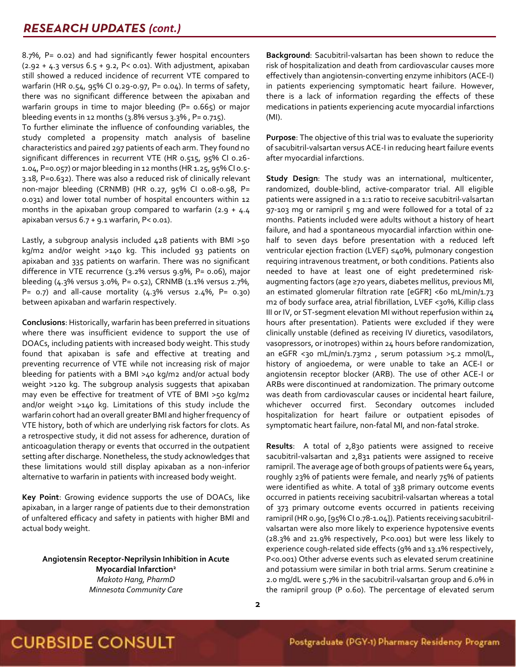8.7%, P= 0.02) and had significantly fewer hospital encounters  $(2.92 + 4.3 \text{ versus } 6.5 + 9.2, P < 0.01)$ . With adjustment, apixaban still showed a reduced incidence of recurrent VTE compared to warfarin (HR 0.54, 95% CI 0.29-0.97, P= 0.04). In terms of safety, there was no significant difference between the apixaban and warfarin groups in time to major bleeding (P=  $0.665$ ) or major bleeding events in 12 months  $(3.8\%$  versus  $3.3\%$ , P= 0.715).

To further eliminate the influence of confounding variables, the study completed a propensity match analysis of baseline characteristics and paired 297 patients of each arm. They found no significant differences in recurrent VTE (HR 0.515, 95% CI 0.26- 1.04, P=0.057) or major bleeding in 12 months (HR 1.25, 95% CI 0.5- 3.18, P=0.632). There was also a reduced risk of clinically relevant non-major bleeding (CRNMB) (HR 0.27, 95% CI 0.08-0.98, P= 0.031) and lower total number of hospital encounters within 12 months in the apixaban group compared to warfarin  $(2.9 + 4.4)$ apixaban versus 6.7 + 9.1 warfarin, P< 0.01).

Lastly, a subgroup analysis included 428 patients with BMI >50 kg/m2 and/or weight >140 kg. This included 93 patients on apixaban and 335 patients on warfarin. There was no significant difference in VTE recurrence (3.2% versus 9.9%, P= 0.06), major bleeding (4.3% versus 3.0%, P= 0.52), CRNMB (1.1% versus 2.7%, P=  $0.7$ ) and all-cause mortality (4.3% versus 2.4%, P=  $0.30$ ) between apixaban and warfarin respectively.

**Conclusions**: Historically, warfarin has been preferred in situations where there was insufficient evidence to support the use of DOACs, including patients with increased body weight. This study found that apixaban is safe and effective at treating and preventing recurrence of VTE while not increasing risk of major bleeding for patients with a BMI >40 kg/m2 and/or actual body weight >120 kg. The subgroup analysis suggests that apixaban may even be effective for treatment of VTE of BMI >50 kg/m2 and/or weight >140 kg. Limitations of this study include the warfarin cohort had an overall greater BMI and higher frequency of VTE history, both of which are underlying risk factors for clots. As a retrospective study, it did not assess for adherence, duration of anticoagulation therapy or events that occurred in the outpatient setting after discharge. Nonetheless, the study acknowledges that these limitations would still display apixaban as a non-inferior alternative to warfarin in patients with increased body weight.

**Key Point**: Growing evidence supports the use of DOACs, like apixaban, in a larger range of patients due to their demonstration of unfaltered efficacy and safety in patients with higher BMI and actual body weight.

**Angiotensin Receptor-Neprilysin Inhibition in Acute Myocardial Infarction<sup>2</sup>** *Makoto Hang, PharmD Minnesota Community Care*

**Background**: Sacubitril-valsartan has been shown to reduce the risk of hospitalization and death from cardiovascular causes more effectively than angiotensin-converting enzyme inhibitors (ACE-I) in patients experiencing symptomatic heart failure. However, there is a lack of information regarding the effects of these medications in patients experiencing acute myocardial infarctions (MI).

**Purpose**: The objective of this trial was to evaluate the superiority of sacubitril-valsartan versus ACE-I in reducing heart failure events after myocardial infarctions.

**Study Design**: The study was an international, multicenter, randomized, double-blind, active-comparator trial. All eligible patients were assigned in a 1:1 ratio to receive sacubitril-valsartan 97-103 mg or ramipril 5 mg and were followed for a total of 22 months. Patients included were adults without a history of heart failure, and had a spontaneous myocardial infarction within onehalf to seven days before presentation with a reduced left ventricular ejection fraction (LVEF) ≤40%, pulmonary congestion requiring intravenous treatment, or both conditions. Patients also needed to have at least one of eight predetermined riskaugmenting factors (age ≥70 years, diabetes mellitus, previous MI, an estimated glomerular filtration rate [eGFR] <60 mL/min/1.73 m2 of body surface area, atrial fibrillation, LVEF <30%, Killip class III or IV, or ST-segment elevation MI without reperfusion within 24 hours after presentation). Patients were excluded if they were clinically unstable (defined as receiving IV diuretics, vasodilators, vasopressors, or inotropes) within 24 hours before randomization, an eGFR <30 mL/min/1.73m2, serum potassium >5.2 mmol/L, history of angioedema, or were unable to take an ACE-I or angiotensin receptor blocker (ARB). The use of other ACE-I or ARBs were discontinued at randomization. The primary outcome was death from cardiovascular causes or incidental heart failure, whichever occurred first. Secondary outcomes included hospitalization for heart failure or outpatient episodes of symptomatic heart failure, non-fatal MI, and non-fatal stroke.

**Results**: A total of 2,830 patients were assigned to receive sacubitril-valsartan and 2,831 patients were assigned to receive ramipril. The average age of both groups of patients were 64 years, roughly 23% of patients were female, and nearly 75% of patients were identified as white. A total of 338 primary outcome events occurred in patients receiving sacubitril-valsartan whereas a total of 373 primary outcome events occurred in patients receiving ramipril (HR 0.90, [95% CI 0.78-1.04]). Patients receiving sacubitrilvalsartan were also more likely to experience hypotensive events (28.3% and 21.9% respectively, P<0.001) but were less likely to experience cough-related side effects (9% and 13.1% respectively, P<0.001) Other adverse events such as elevated serum creatinine and potassium were similar in both trial arms. Serum creatinine ≥ 2.0 mg/dL were 5.7% in the sacubitril-valsartan group and 6.0% in the ramipril group (P 0.60). The percentage of elevated serum

## **CURBSIDE CONSULT**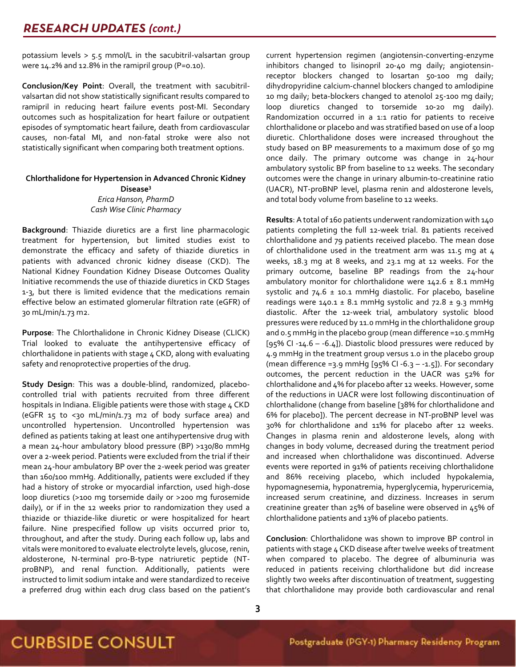potassium levels > 5.5 mmol/L in the sacubitril-valsartan group were 14.2% and 12.8% in the ramipril group (P=0.10).

**Conclusion/Key Point**: Overall, the treatment with sacubitrilvalsartan did not show statistically significant results compared to ramipril in reducing heart failure events post-MI. Secondary outcomes such as hospitalization for heart failure or outpatient episodes of symptomatic heart failure, death from cardiovascular causes, non-fatal MI, and non-fatal stroke were also not statistically significant when comparing both treatment options.

#### **Chlorthalidone for Hypertension in Advanced Chronic Kidney Disease<sup>3</sup>** *Erica Hanson, PharmD Cash Wise Clinic Pharmacy*

**Background**: Thiazide diuretics are a first line pharmacologic treatment for hypertension, but limited studies exist to demonstrate the efficacy and safety of thiazide diuretics in patients with advanced chronic kidney disease (CKD). The National Kidney Foundation Kidney Disease Outcomes Quality Initiative recommends the use of thiazide diuretics in CKD Stages 1-3, but there is limited evidence that the medications remain effective below an estimated glomerular filtration rate (eGFR) of 30 mL/min/1.73 m2.

**Purpose**: The Chlorthalidone in Chronic Kidney Disease (CLICK) Trial looked to evaluate the antihypertensive efficacy of chlorthalidone in patients with stage 4 CKD, along with evaluating safety and renoprotective properties of the drug.

**Study Design**: This was a double-blind, randomized, placebocontrolled trial with patients recruited from three different hospitals in Indiana. Eligible patients were those with stage 4 CKD (eGFR 15 to <30 mL/min/1.73 m2 of body surface area) and uncontrolled hypertension. Uncontrolled hypertension was defined as patients taking at least one antihypertensive drug with a mean 24-hour ambulatory blood pressure (BP) >130/80 mmHg over a 2-week period. Patients were excluded from the trial if their mean 24-hour ambulatory BP over the 2-week period was greater than 160/100 mmHg. Additionally, patients were excluded if they had a history of stroke or myocardial infarction, used high-dose loop diuretics (>100 mg torsemide daily or >200 mg furosemide daily), or if in the 12 weeks prior to randomization they used a thiazide or thiazide-like diuretic or were hospitalized for heart failure. Nine prespecified follow up visits occurred prior to, throughout, and after the study. During each follow up, labs and vitals were monitored to evaluate electrolyte levels, glucose, renin, aldosterone, N-terminal pro-B-type natriuretic peptide (NTproBNP), and renal function. Additionally, patients were instructed to limit sodium intake and were standardized to receive a preferred drug within each drug class based on the patient's current hypertension regimen (angiotensin-converting-enzyme inhibitors changed to lisinopril 20-40 mg daily; angiotensinreceptor blockers changed to losartan 50-100 mg daily; dihydropyridine calcium-channel blockers changed to amlodipine 10 mg daily; beta-blockers changed to atenolol 25-100 mg daily; loop diuretics changed to torsemide 10-20 mg daily). Randomization occurred in a 1:1 ratio for patients to receive chlorthalidone or placebo and was stratified based on use of a loop diuretic. Chlorthalidone doses were increased throughout the study based on BP measurements to a maximum dose of 50 mg once daily. The primary outcome was change in 24-hour ambulatory systolic BP from baseline to 12 weeks. The secondary outcomes were the change in urinary albumin-to-creatinine ratio (UACR), NT-proBNP level, plasma renin and aldosterone levels, and total body volume from baseline to 12 weeks.

**Results**: A total of 160 patients underwent randomization with 140 patients completing the full 12-week trial. 81 patients received chlorthalidone and 79 patients received placebo. The mean dose of chlorthalidone used in the treatment arm was 11.5 mg at 4 weeks, 18.3 mg at 8 weeks, and 23.1 mg at 12 weeks. For the primary outcome, baseline BP readings from the 24-hour ambulatory monitor for chlorthalidone were  $142.6 \pm 8.1$  mmHq systolic and  $74.6 \pm 10.1$  mmHg diastolic. For placebo, baseline readings were  $140.1 \pm 8.1$  mmHg systolic and  $72.8 \pm 9.3$  mmHg diastolic. After the 12-week trial, ambulatory systolic blood pressures were reduced by 11.0 mmHg in the chlorthalidone group and 0.5 mmHg in the placebo group (mean difference =10.5 mmHg [95% CI -14.6 – -6.4]). Diastolic blood pressures were reduced by 4.9 mmHg in the treatment group versus 1.0 in the placebo group (mean difference =3.9 mmHg  $[95\%$  CI -6.3 - -1.5]). For secondary outcomes, the percent reduction in the UACR was 52% for chlorthalidone and 4% for placebo after 12 weeks. However, some of the reductions in UACR were lost following discontinuation of chlorthalidone (change from baseline [38% for chlorthalidone and 6% for placebo]). The percent decrease in NT-proBNP level was 30% for chlorthalidone and 11% for placebo after 12 weeks. Changes in plasma renin and aldosterone levels, along with changes in body volume, decreased during the treatment period and increased when chlorthalidone was discontinued. Adverse events were reported in 91% of patients receiving chlorthalidone and 86% receiving placebo, which included hypokalemia, hypomagnesemia, hyponatremia, hyperglycemia, hyperuricemia, increased serum creatinine, and dizziness. Increases in serum creatinine greater than 25% of baseline were observed in 45% of chlorthalidone patients and 13% of placebo patients.

**Conclusion**: Chlorthalidone was shown to improve BP control in patients with stage 4 CKD disease after twelve weeks of treatment when compared to placebo. The degree of albuminuria was reduced in patients receiving chlorthalidone but did increase slightly two weeks after discontinuation of treatment, suggesting that chlorthalidone may provide both cardiovascular and renal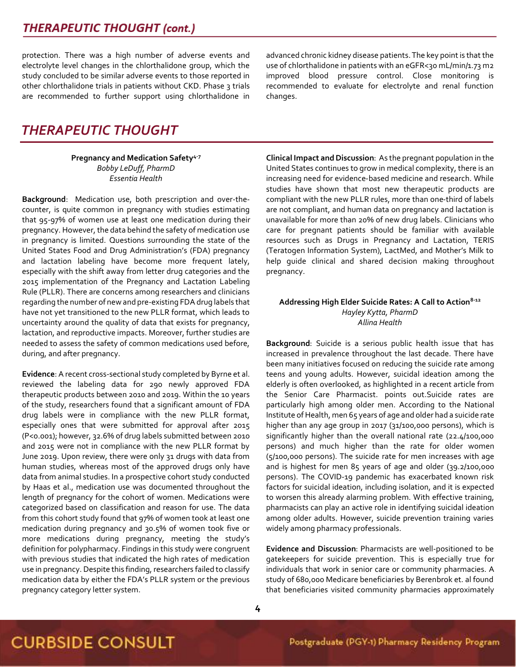## *(cont.)*

protection. There was a high number of adverse events and electrolyte level changes in the chlorthalidone group, which the study concluded to be similar adverse events to those reported in other chlorthalidone trials in patients without CKD. Phase 3 trials are recommended to further support using chlorthalidone in

## *THERAPEUTIC THOUGHT*

#### **Pregnancy and Medication Safety4-7** *Bobby LeDuff, PharmD Essentia Health*

**Background**: Medication use, both prescription and over-thecounter, is quite common in pregnancy with studies estimating that 95-97% of women use at least one medication during their pregnancy. However, the data behind the safety of medication use in pregnancy is limited. Questions surrounding the state of the United States Food and Drug Administration's (FDA) pregnancy and lactation labeling have become more frequent lately, especially with the shift away from letter drug categories and the 2015 implementation of the Pregnancy and Lactation Labeling Rule (PLLR). There are concerns among researchers and clinicians regarding the number of new and pre-existing FDA drug labels that have not yet transitioned to the new PLLR format, which leads to uncertainty around the quality of data that exists for pregnancy, lactation, and reproductive impacts. Moreover, further studies are needed to assess the safety of common medications used before, during, and after pregnancy.

**Evidence**: A recent cross-sectional study completed by Byrne et al. reviewed the labeling data for 290 newly approved FDA therapeutic products between 2010 and 2019. Within the 10 years of the study, researchers found that a significant amount of FDA drug labels were in compliance with the new PLLR format, especially ones that were submitted for approval after 2015 (P<0.001); however, 32.6% of drug labels submitted between 2010 and 2015 were not in compliance with the new PLLR format by June 2019. Upon review, there were only 31 drugs with data from human studies, whereas most of the approved drugs only have data from animal studies. In a prospective cohort study conducted by Haas et al., medication use was documented throughout the length of pregnancy for the cohort of women. Medications were categorized based on classification and reason for use. The data from this cohort study found that 97% of women took at least one medication during pregnancy and 30.5% of women took five or more medications during pregnancy, meeting the study's definition for polypharmacy. Findings in this study were congruent with previous studies that indicated the high rates of medication use in pregnancy. Despite this finding, researchers failed to classify medication data by either the FDA's PLLR system or the previous pregnancy category letter system.

advanced chronic kidney disease patients.The key point is that the use of chlorthalidone in patients with an eGFR<30 mL/min/1.73 m2 improved blood pressure control. Close monitoring is recommended to evaluate for electrolyte and renal function changes.

**Clinical Impact and Discussion**: As the pregnant population in the United States continues to grow in medical complexity, there is an increasing need for evidence-based medicine and research. While studies have shown that most new therapeutic products are compliant with the new PLLR rules, more than one-third of labels are not compliant, and human data on pregnancy and lactation is unavailable for more than 20% of new drug labels. Clinicians who care for pregnant patients should be familiar with available resources such as Drugs in Pregnancy and Lactation, TERIS (Teratogen Information System), LactMed, and Mother's Milk to help guide clinical and shared decision making throughout pregnancy.

#### **Addressing High Elder Suicide Rates: A Call to Action8-12** *Hayley Kytta, PharmD Allina Health*

**Background**: Suicide is a serious public health issue that has increased in prevalence throughout the last decade. There have been many initiatives focused on reducing the suicide rate among teens and young adults. However, suicidal ideation among the elderly is often overlooked, as highlighted in a recent article from the Senior Care Pharmacist. points out.Suicide rates are particularly high among older men. According to the National Institute of Health, men 65 years of age and older had a suicide rate higher than any age group in 2017 (31/100,000 persons), which is significantly higher than the overall national rate (22.4/100,000 persons) and much higher than the rate for older women (5/100,000 persons). The suicide rate for men increases with age and is highest for men 85 years of age and older (39.2/100,000 persons). The COVID-19 pandemic has exacerbated known risk factors for suicidal ideation, including isolation, and it is expected to worsen this already alarming problem. With effective training, pharmacists can play an active role in identifying suicidal ideation among older adults. However, suicide prevention training varies widely among pharmacy professionals.

**Evidence and Discussion**: Pharmacists are well-positioned to be gatekeepers for suicide prevention. This is especially true for individuals that work in senior care or community pharmacies. A study of 680,000 Medicare beneficiaries by Berenbrok et. al found that beneficiaries visited community pharmacies approximately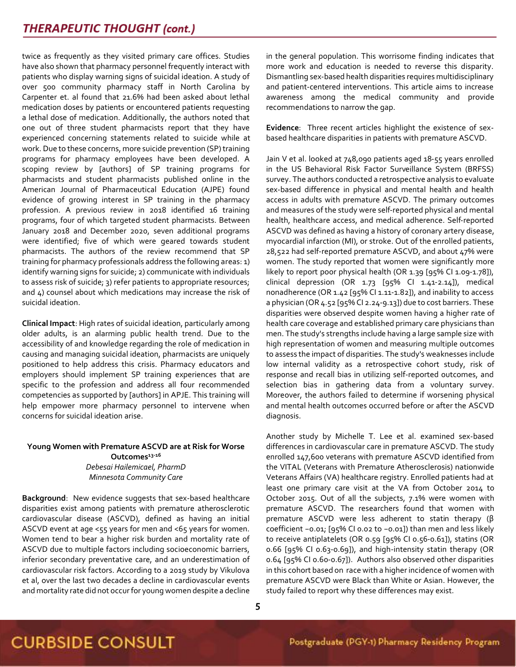twice as frequently as they visited primary care offices. Studies have also shown that pharmacy personnel frequently interact with patients who display warning signs of suicidal ideation. A study of over 500 community pharmacy staff in North Carolina by Carpenter et. al found that 21.6% had been asked about lethal medication doses by patients or encountered patients requesting a lethal dose of medication. Additionally, the authors noted that one out of three student pharmacists report that they have experienced concerning statements related to suicide while at work. Due to these concerns, more suicide prevention (SP) training programs for pharmacy employees have been developed. A scoping review by [authors] of SP training programs for pharmacists and student pharmacists published online in the American Journal of Pharmaceutical Education (AJPE) found evidence of growing interest in SP training in the pharmacy profession. A previous review in 2018 identified 16 training programs, four of which targeted student pharmacists. Between January 2018 and December 2020, seven additional programs were identified; five of which were geared towards student pharmacists. The authors of the review recommend that SP training for pharmacy professionals address the following areas: 1) identify warning signs for suicide; 2) communicate with individuals to assess risk of suicide; 3) refer patients to appropriate resources; and 4) counsel about which medications may increase the risk of suicidal ideation.

**Clinical Impact**: High rates of suicidal ideation, particularly among older adults, is an alarming public health trend. Due to the accessibility of and knowledge regarding the role of medication in causing and managing suicidal ideation, pharmacists are uniquely positioned to help address this crisis. Pharmacy educators and employers should implement SP training experiences that are specific to the profession and address all four recommended competencies as supported by [authors] in APJE. This training will help empower more pharmacy personnel to intervene when concerns for suicidal ideation arise.

#### **Young Women with Premature ASCVD are at Risk for Worse Outcomes13-16** *Debesai Hailemicael, PharmD Minnesota Community Care*

**Background**: New evidence suggests that sex-based healthcare disparities exist among patients with premature atherosclerotic cardiovascular disease (ASCVD), defined as having an initial ASCVD event at age <55 years for men and <65 years for women. Women tend to bear a higher risk burden and mortality rate of ASCVD due to multiple factors including socioeconomic barriers, inferior secondary preventative care, and an underestimation of cardiovascular risk factors. According to a 2019 study by Vikulova et al, over the last two decades a decline in cardiovascular events and mortality rate did not occur for young women despite a decline in the general population. This worrisome finding indicates that more work and education is needed to reverse this disparity. Dismantling sex-based health disparities requires multidisciplinary and patient-centered interventions. This article aims to increase awareness among the medical community and provide recommendations to narrow the gap.

**Evidence**: Three recent articles highlight the existence of sexbased healthcare disparities in patients with premature ASCVD.

Jain V et al. looked at 748,090 patients aged 18-55 years enrolled in the US Behavioral Risk Factor Surveillance System (BRFSS) survey. The authors conducted a retrospective analysis to evaluate sex-based difference in physical and mental health and health access in adults with premature ASCVD. The primary outcomes and measures of the study were self-reported physical and mental health, healthcare access, and medical adherence. Self-reported ASCVD was defined as having a history of coronary artery disease, myocardial infarction (MI), or stroke. Out of the enrolled patients, 28,522 had self-reported premature ASCVD, and about 47% were women. The study reported that women were significantly more likely to report poor physical health (OR 1.39 [95% Cl 1.09-1.78]), clinical depression (OR 1.73 [95% CI 1.41-2.14]), medical nonadherence (OR 1.42 [95% CI 1.11-1.82]), and inability to access a physician (OR 4.52 [95% CI 2.24-9.13]) due to cost barriers. These disparities were observed despite women having a higher rate of health care coverage and established primary care physicians than men. The study's strengths include having a large sample size with high representation of women and measuring multiple outcomes to assess the impact of disparities. The study's weaknesses include low internal validity as a retrospective cohort study, risk of response and recall bias in utilizing self-reported outcomes, and selection bias in gathering data from a voluntary survey. Moreover, the authors failed to determine if worsening physical and mental health outcomes occurred before or after the ASCVD diagnosis.

Another study by Michelle T. Lee et al. examined sex-based differences in cardiovascular care in premature ASCVD. The study enrolled 147,600 veterans with premature ASCVD identified from the VITAL (Veterans with Premature Atherosclerosis) nationwide Veterans Affairs (VA) healthcare registry. Enrolled patients had at least one primary care visit at the VA from October 2014 to October 2015. Out of all the subjects, 7.1% were women with premature ASCVD. The researchers found that women with premature ASCVD were less adherent to statin therapy (β coefficient −0.01; [95% CI 0.02 to −0.01]) than men and less likely to receive antiplatelets (OR 0.59 [95% CI 0.56-0.61]), statins (OR 0.66 [95% CI 0.63-0.69]), and high-intensity statin therapy (OR 0.64 [95% CI 0.60-0.67]). Authors also observed other disparities in this cohort based on race with a higher incidence of women with premature ASCVD were Black than White or Asian. However, the study failed to report why these differences may exist.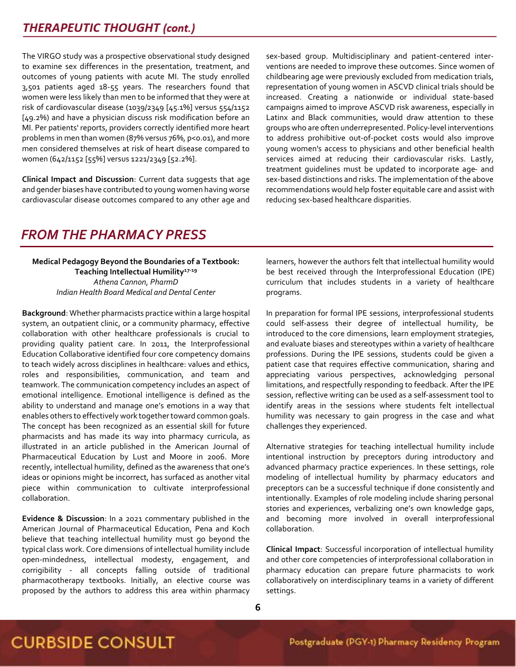The VIRGO study was a prospective observational study designed to examine sex differences in the presentation, treatment, and outcomes of young patients with acute MI. The study enrolled 3,501 patients aged 18-55 years. The researchers found that women were less likely than men to be informed that they were at risk of cardiovascular disease (1039/2349 [45.1%] versus 554/1152 [49.2%) and have a physician discuss risk modification before an MI. Per patients' reports, providers correctly identified more heart problems in men than women (87% versus 76%, p<0.01), and more men considered themselves at risk of heart disease compared to women (642/1152 [55%] versus 1221/2349 [52.2%].

**Clinical Impact and Discussion**: Current data suggests that age and gender biases have contributed to young women having worse cardiovascular disease outcomes compared to any other age and sex-based group. Multidisciplinary and patient-centered interventions are needed to improve these outcomes. Since women of childbearing age were previously excluded from medication trials, representation of young women in ASCVD clinical trials should be increased. Creating a nationwide or individual state-based campaigns aimed to improve ASCVD risk awareness, especially in Latinx and Black communities, would draw attention to these groups who are often underrepresented. Policy-level interventions to address prohibitive out-of-pocket costs would also improve young women's access to physicians and other beneficial health services aimed at reducing their cardiovascular risks. Lastly, treatment guidelines must be updated to incorporate age- and sex-based distinctions and risks. The implementation of the above recommendations would help foster equitable care and assist with reducing sex-based healthcare disparities.

## *FROM THE PHARMACY PRESS*

**Medical Pedagogy Beyond the Boundaries of a Textbook: Teaching Intellectual Humility17-19** *Athena Cannon, PharmD Indian Health Board Medical and Dental Center*

**Background**: Whether pharmacists practice within a large hospital system, an outpatient clinic, or a community pharmacy, effective collaboration with other healthcare professionals is crucial to providing quality patient care. In 2011, the Interprofessional Education Collaborative identified four core competency domains to teach widely across disciplines in healthcare: values and ethics, roles and responsibilities, communication, and team and teamwork. The communication competency includes an aspect of emotional intelligence. Emotional intelligence is defined as the ability to understand and manage one's emotions in a way that enables others to effectively work together toward common goals. The concept has been recognized as an essential skill for future pharmacists and has made its way into pharmacy curricula, as illustrated in an article published in the American Journal of Pharmaceutical Education by Lust and Moore in 2006. More recently, intellectual humility, defined as the awareness that one's ideas or opinions might be incorrect, has surfaced as another vital piece within communication to cultivate interprofessional collaboration.

**Evidence & Discussion**: In a 2021 commentary published in the American Journal of Pharmaceutical Education, Pena and Koch believe that teaching intellectual humility must go beyond the typical class work. Core dimensions of intellectual humility include open-mindedness, intellectual modesty, engagement, and corrigibility - all concepts falling outside of traditional pharmacotherapy textbooks. Initially, an elective course was proposed by the authors to address this area within pharmacy

learners, however the authors felt that intellectual humility would be best received through the Interprofessional Education (IPE) curriculum that includes students in a variety of healthcare programs.

In preparation for formal IPE sessions, interprofessional students could self-assess their degree of intellectual humility, be introduced to the core dimensions, learn employment strategies, and evaluate biases and stereotypes within a variety of healthcare professions. During the IPE sessions, students could be given a patient case that requires effective communication, sharing and appreciating various perspectives, acknowledging personal limitations, and respectfully responding to feedback. After the IPE session, reflective writing can be used as a self-assessment tool to identify areas in the sessions where students felt intellectual humility was necessary to gain progress in the case and what challenges they experienced.

Alternative strategies for teaching intellectual humility include intentional instruction by preceptors during introductory and advanced pharmacy practice experiences. In these settings, role modeling of intellectual humility by pharmacy educators and preceptors can be a successful technique if done consistently and intentionally. Examples of role modeling include sharing personal stories and experiences, verbalizing one's own knowledge gaps, and becoming more involved in overall interprofessional collaboration.

**Clinical Impact**: Successful incorporation of intellectual humility and other core competencies of interprofessional collaboration in pharmacy education can prepare future pharmacists to work collaboratively on interdisciplinary teams in a variety of different settings.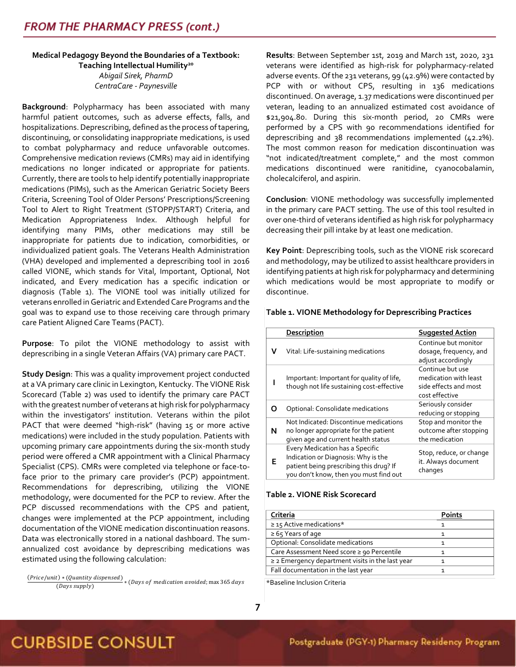#### **Medical Pedagogy Beyond the Boundaries of a Textbook: Teaching Intellectual Humility<sup>20</sup>** *Abigail Sirek, PharmD CentraCare - Paynesville*

**Background**: Polypharmacy has been associated with many harmful patient outcomes, such as adverse effects, falls, and hospitalizations. Deprescribing, defined as the process of tapering, discontinuing, or consolidating inappropriate medications, is used to combat polypharmacy and reduce unfavorable outcomes. Comprehensive medication reviews (CMRs) may aid in identifying medications no longer indicated or appropriate for patients. Currently, there are tools to help identify potentially inappropriate medications (PIMs), such as the American Geriatric Society Beers Criteria, Screening Tool of Older Persons' Prescriptions/Screening Tool to Alert to Right Treatment (STOPP/START) Criteria, and Medication Appropriateness Index. Although helpful for identifying many PIMs, other medications may still be inappropriate for patients due to indication, comorbidities, or individualized patient goals. The Veterans Health Administration (VHA) developed and implemented a deprescribing tool in 2016 called VIONE, which stands for Vital, Important, Optional, Not indicated, and Every medication has a specific indication or diagnosis (Table 1). The VIONE tool was initially utilized for veterans enrolled in Geriatric and Extended Care Programs and the goal was to expand use to those receiving care through primary care Patient Aligned Care Teams (PACT).

**Purpose**: To pilot the VIONE methodology to assist with deprescribing in a single Veteran Affairs (VA) primary care PACT.

**Study Design**: This was a quality improvement project conducted at a VA primary care clinic in Lexington, Kentucky. The VIONE Risk Scorecard (Table 2) was used to identify the primary care PACT with the greatest number of veterans at high risk for polypharmacy within the investigators' institution. Veterans within the pilot PACT that were deemed "high-risk" (having 15 or more active medications) were included in the study population. Patients with upcoming primary care appointments during the six-month study period were offered a CMR appointment with a Clinical Pharmacy Specialist (CPS). CMRs were completed via telephone or face-toface prior to the primary care provider's (PCP) appointment. Recommendations for deprescribing, utilizing the VIONE methodology, were documented for the PCP to review. After the PCP discussed recommendations with the CPS and patient, changes were implemented at the PCP appointment, including documentation of the VIONE medication discontinuation reasons. Data was electronically stored in a national dashboard. The sumannualized cost avoidance by deprescribing medications was estimated using the following calculation:

(Price/unit) \* (Quantity dispensed)  $\frac{(T_{\text{max}} - T_{\text{max}})}{(D_{\text{avg}} - T_{\text{max}})}$  \* (Days of medication avoided; max 365 days **Results**: Between September 1st, 2019 and March 1st, 2020, 231 veterans were identified as high-risk for polypharmacy-related adverse events. Of the 231 veterans, 99 (42.9%) were contacted by PCP with or without CPS, resulting in 136 medications discontinued. On average, 1.37 medications were discontinued per veteran, leading to an annualized estimated cost avoidance of \$21,904.80. During this six-month period, 20 CMRs were performed by a CPS with 90 recommendations identified for deprescribing and 38 recommendations implemented (42.2%). The most common reason for medication discontinuation was "not indicated/treatment complete," and the most common medications discontinued were ranitidine, cyanocobalamin, cholecalciferol, and aspirin.

**Conclusion**: VIONE methodology was successfully implemented in the primary care PACT setting. The use of this tool resulted in over one-third of veterans identified as high risk for polypharmacy decreasing their pill intake by at least one medication.

**Key Point**: Deprescribing tools, such as the VIONE risk scorecard and methodology, may be utilized to assist healthcare providers in identifying patients at high risk for polypharmacy and determining which medications would be most appropriate to modify or discontinue.

#### **Table 1. VIONE Methodology for Deprescribing Practices**

|   | Description                                                                                                                                                 | <b>Suggested Action</b>                                                              |
|---|-------------------------------------------------------------------------------------------------------------------------------------------------------------|--------------------------------------------------------------------------------------|
| v | Vital: Life-sustaining medications                                                                                                                          | Continue but monitor<br>dosage, frequency, and<br>adjust accordingly                 |
|   | Important: Important for quality of life,<br>though not life sustaining cost-effective                                                                      | Continue but use<br>medication with least<br>side effects and most<br>cost effective |
| 0 | Optional: Consolidate medications                                                                                                                           | Seriously consider<br>reducing or stopping                                           |
| N | Not Indicated: Discontinue medications<br>no longer appropriate for the patient<br>given age and current health status                                      | Stop and monitor the<br>outcome after stopping<br>the medication                     |
| Е | Every Medication has a Specific<br>Indication or Diagnosis: Why is the<br>patient being prescribing this drug? If<br>you don't know, then you must find out | Stop, reduce, or change<br>it. Always document<br>changes                            |

#### **Table 2. VIONE Risk Scorecard**

| Criteria                                              | <b>Points</b> |
|-------------------------------------------------------|---------------|
| $\geq$ 15 Active medications*                         |               |
| $\geq 65$ Years of age                                |               |
| Optional: Consolidate medications                     |               |
| Care Assessment Need score ≥ 90 Percentile            |               |
| $\geq$ 2 Emergency department visits in the last year |               |
| Fall documentation in the last year                   |               |

\*Baseline Inclusion Criteria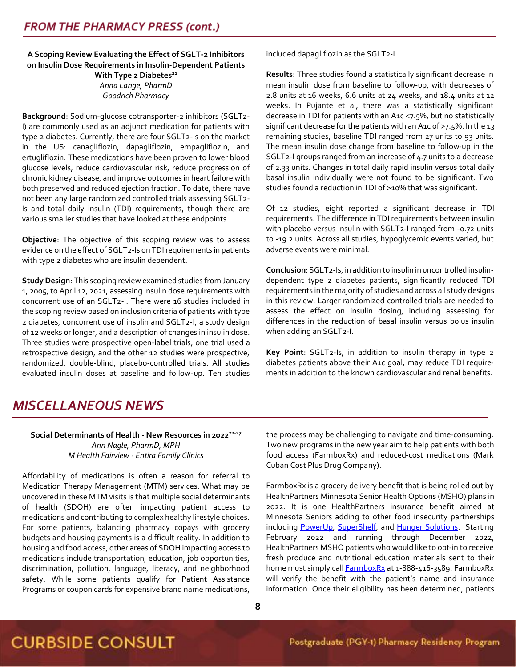**A Scoping Review Evaluating the Effect of SGLT-2 Inhibitors on Insulin Dose Requirements in Insulin-Dependent Patients With Type 2 Diabetes<sup>21</sup>**

> *Anna Lange, PharmD Goodrich Pharmacy*

**Background**: Sodium-glucose cotransporter-2 inhibitors (SGLT2- I) are commonly used as an adjunct medication for patients with type 2 diabetes. Currently, there are four SGLT2-Is on the market in the US: canagliflozin, dapagliflozin, empagliflozin, and ertugliflozin. These medications have been proven to lower blood glucose levels, reduce cardiovascular risk, reduce progression of chronic kidney disease, and improve outcomes in heart failure with both preserved and reduced ejection fraction. To date, there have not been any large randomized controlled trials assessing SGLT2- Is and total daily insulin (TDI) requirements, though there are various smaller studies that have looked at these endpoints.

**Objective**: The objective of this scoping review was to assess evidence on the effect of SGLT2-Is on TDI requirements in patients with type 2 diabetes who are insulin dependent.

**Study Design**: This scoping review examined studies from January 1, 2005, to April 12, 2021, assessing insulin dose requirements with concurrent use of an SGLT2-I. There were 16 studies included in the scoping review based on inclusion criteria of patients with type 2 diabetes, concurrent use of insulin and SGLT2-I, a study design of 12 weeks or longer, and a description of changes in insulin dose. Three studies were prospective open-label trials, one trial used a retrospective design, and the other 12 studies were prospective, randomized, double-blind, placebo-controlled trials. All studies evaluated insulin doses at baseline and follow-up. Ten studies included dapagliflozin as the SGLT2-I.

**Results**: Three studies found a statistically significant decrease in mean insulin dose from baseline to follow-up, with decreases of 2.8 units at 16 weeks, 6.6 units at 24 weeks, and 18.4 units at 12 weeks. In Pujante et al, there was a statistically significant decrease in TDI for patients with an A1c <7.5%, but no statistically significant decrease for the patients with an A1c of >7.5%. In the 13 remaining studies, baseline TDI ranged from 27 units to 93 units. The mean insulin dose change from baseline to follow-up in the SGLT2-I groups ranged from an increase of 4.7 units to a decrease of 2.33 units. Changes in total daily rapid insulin versus total daily basal insulin individually were not found to be significant. Two studies found a reduction in TDI of >10% that was significant.

Of 12 studies, eight reported a significant decrease in TDI requirements. The difference in TDI requirements between insulin with placebo versus insulin with SGLT2-I ranged from -0.72 units to -19.2 units. Across all studies, hypoglycemic events varied, but adverse events were minimal.

**Conclusion**: SGLT2-Is, in addition to insulin in uncontrolled insulindependent type 2 diabetes patients, significantly reduced TDI requirements in the majority of studies and across all study designs in this review. Larger randomized controlled trials are needed to assess the effect on insulin dosing, including assessing for differences in the reduction of basal insulin versus bolus insulin when adding an SGLT2-I.

**Key Point**: SGLT2-Is, in addition to insulin therapy in type 2 diabetes patients above their A1c goal, may reduce TDI requirements in addition to the known cardiovascular and renal benefits.

## *MISCELLANEOUS NEWS*

#### **Social Determinants of Health - New Resources in 202222-27** *Ann Nagle, PharmD, MPH M Health Fairview - Entira Family Clinics*

Affordability of medications is often a reason for referral to Medication Therapy Management (MTM) services. What may be uncovered in these MTM visits is that multiple social determinants of health (SDOH) are often impacting patient access to medications and contributing to complex healthy lifestyle choices. For some patients, balancing pharmacy copays with grocery budgets and housing payments is a difficult reality. In addition to housing and food access, other areas of SDOH impacting access to medications include transportation, education, job opportunities, discrimination, pollution, language, literacy, and neighborhood safety. While some patients qualify for Patient Assistance Programs or coupon cards for expensive brand name medications, the process may be challenging to navigate and time-consuming. Two new programs in the new year aim to help patients with both food access (FarmboxRx) and reduced-cost medications (Mark Cuban Cost Plus Drug Company).

FarmboxRx is a grocery delivery benefit that is being rolled out by HealthPartners Minnesota Senior Health Options (MSHO) plans in 2022. It is one HealthPartners insurance benefit aimed at Minnesota Seniors adding to other food insecurity partnerships including [PowerUp,](https://www.powerup4kids.org/Home) [SuperShelf,](https://www.supershelfmn.org/) and [Hunger Solutions.](https://www.hungersolutions.org/) Starting February 2022 and running through December 2022, HealthPartners MSHO patients who would like to opt-in to receive fresh produce and nutritional education materials sent to their home must simply call **FarmboxRx** at 1-888-416-3589. FarmboxRx will verify the benefit with the patient's name and insurance information. Once their eligibility has been determined, patients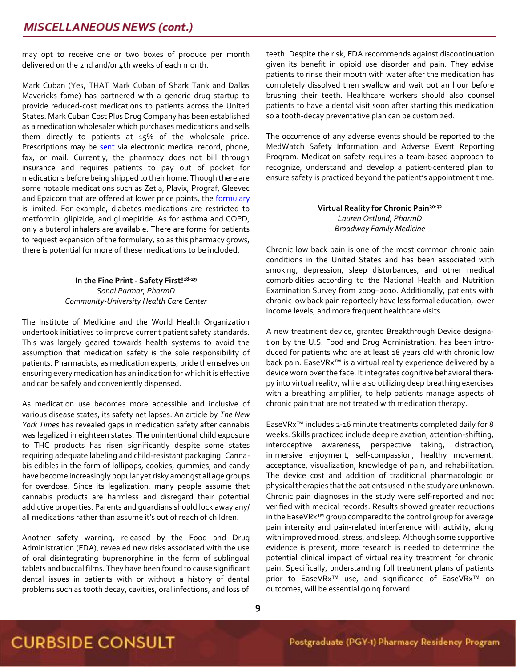may opt to receive one or two boxes of produce per month delivered on the 2nd and/or 4th weeks of each month.

Mark Cuban (Yes, THAT Mark Cuban of Shark Tank and Dallas Mavericks fame) has partnered with a generic drug startup to provide reduced-cost medications to patients across the United States. Mark Cuban Cost Plus Drug Company has been established as a medication wholesaler which purchases medications and sells them directly to patients at 15% of the wholesale price. Prescriptions may be [sent](https://costplusdrugs.com/providers/) via electronic medical record, phone, fax, or mail. Currently, the pharmacy does not bill through insurance and requires patients to pay out of pocket for medications before being shipped to their home. Though there are some notable medications such as Zetia, Plavix, Prograf, Gleevec and Epzicom that are offered at lower price points, the **formulary** is limited. For example, diabetes medications are restricted to metformin, glipizide, and glimepiride. As for asthma and COPD, only albuterol inhalers are available. There are forms for patients to request expansion of the formulary, so as this pharmacy grows, there is potential for more of these medications to be included.

#### **In the Fine Print - Safety First!28-29** *Sonal Parmar, PharmD Community-University Health Care Center*

The Institute of Medicine and the World Health Organization undertook initiatives to improve current patient safety standards. This was largely geared towards health systems to avoid the assumption that medication safety is the sole responsibility of patients. Pharmacists, as medication experts, pride themselves on ensuring every medication has an indication for which it is effective and can be safely and conveniently dispensed.

As medication use becomes more accessible and inclusive of various disease states, its safety net lapses. An article by *The New York Times* has revealed gaps in medication safety after cannabis was legalized in eighteen states. The unintentional child exposure to THC products has risen significantly despite some states requiring adequate labeling and child-resistant packaging. Cannabis edibles in the form of lollipops, cookies, gummies, and candy have become increasingly popular yet risky amongst all age groups for overdose. Since its legalization, many people assume that cannabis products are harmless and disregard their potential addictive properties. Parents and guardians should lock away any/ all medications rather than assume it's out of reach of children.

Another safety warning, released by the Food and Drug Administration (FDA), revealed new risks associated with the use of oral disintegrating buprenorphine in the form of sublingual tablets and buccal films. They have been found to cause significant dental issues in patients with or without a history of dental problems such as tooth decay, cavities, oral infections, and loss of teeth. Despite the risk, FDA recommends against discontinuation given its benefit in opioid use disorder and pain. They advise patients to rinse their mouth with water after the medication has completely dissolved then swallow and wait out an hour before brushing their teeth. Healthcare workers should also counsel patients to have a dental visit soon after starting this medication so a tooth-decay preventative plan can be customized.

The occurrence of any adverse events should be reported to the MedWatch Safety Information and Adverse Event Reporting Program. Medication safety requires a team-based approach to recognize, understand and develop a patient-centered plan to ensure safety is practiced beyond the patient's appointment time.

#### **Virtual Reality for Chronic Pain30-32** *Lauren Ostlund, PharmD Broadway Family Medicine*

Chronic low back pain is one of the most common chronic pain conditions in the United States and has been associated with smoking, depression, sleep disturbances, and other medical comorbidities according to the National Health and Nutrition Examination Survey from 2009–2010. Additionally, patients with chronic low back pain reportedly have less formal education, lower income levels, and more frequent healthcare visits.

A new treatment device, granted Breakthrough Device designation by the U.S. Food and Drug Administration, has been introduced for patients who are at least 18 years old with chronic low back pain. EaseVRx<sup>™</sup> is a virtual reality experience delivered by a device worn over the face. It integrates cognitive behavioral therapy into virtual reality, while also utilizing deep breathing exercises with a breathing amplifier, to help patients manage aspects of chronic pain that are not treated with medication therapy.

EaseVRx™ includes 2-16 minute treatments completed daily for 8 weeks. Skills practiced include deep relaxation, attention-shifting, interoceptive awareness, perspective taking, distraction, immersive enjoyment, self-compassion, healthy movement, acceptance, visualization, knowledge of pain, and rehabilitation. The device cost and addition of traditional pharmacologic or physical therapies that the patients used in the study are unknown. Chronic pain diagnoses in the study were self-reported and not verified with medical records. Results showed greater reductions in the EaseVRx™ group compared to the control group for average pain intensity and pain-related interference with activity, along with improved mood, stress, and sleep. Although some supportive evidence is present, more research is needed to determine the potential clinical impact of virtual reality treatment for chronic pain. Specifically, understanding full treatment plans of patients prior to EaseVRx™ use, and significance of EaseVRx™ on outcomes, will be essential going forward.